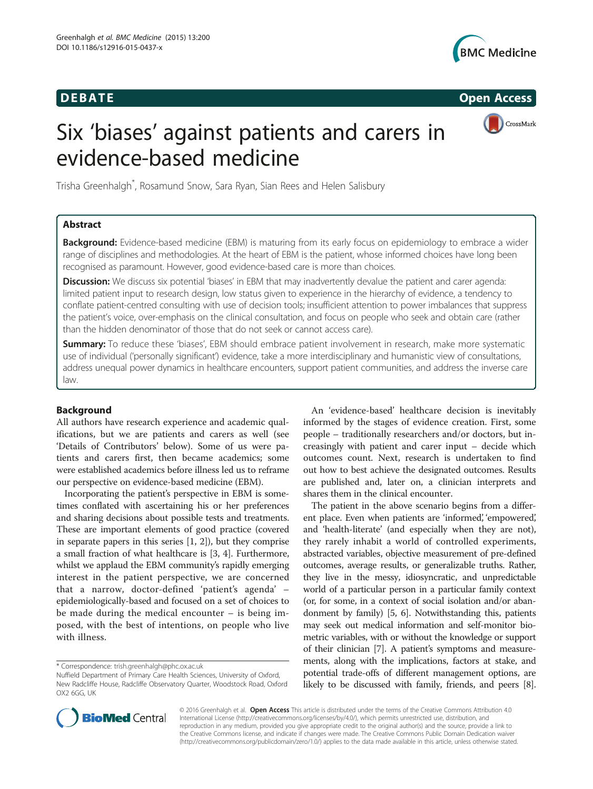

**DEBATE CONSIDERENT CONSIDERED ACCESS** 

CrossMark

# Six 'biases' against patients and carers in evidence-based medicine

Trisha Greenhalgh\* , Rosamund Snow, Sara Ryan, Sian Rees and Helen Salisbury

# Abstract

Background: Evidence-based medicine (EBM) is maturing from its early focus on epidemiology to embrace a wider range of disciplines and methodologies. At the heart of EBM is the patient, whose informed choices have long been recognised as paramount. However, good evidence-based care is more than choices.

**Discussion:** We discuss six potential 'biases' in EBM that may inadvertently devalue the patient and carer agenda: limited patient input to research design, low status given to experience in the hierarchy of evidence, a tendency to conflate patient-centred consulting with use of decision tools; insufficient attention to power imbalances that suppress the patient's voice, over-emphasis on the clinical consultation, and focus on people who seek and obtain care (rather than the hidden denominator of those that do not seek or cannot access care).

**Summary:** To reduce these 'biases', EBM should embrace patient involvement in research, make more systematic use of individual ('personally significant') evidence, take a more interdisciplinary and humanistic view of consultations, address unequal power dynamics in healthcare encounters, support patient communities, and address the inverse care law.

# Background

All authors have research experience and academic qualifications, but we are patients and carers as well (see '[Details of Contributors](#page-8-0)' below). Some of us were patients and carers first, then became academics; some were established academics before illness led us to reframe our perspective on evidence-based medicine (EBM).

Incorporating the patient's perspective in EBM is sometimes conflated with ascertaining his or her preferences and sharing decisions about possible tests and treatments. These are important elements of good practice (covered in separate papers in this series [\[1](#page-8-0), [2\]](#page-8-0)), but they comprise a small fraction of what healthcare is [[3, 4\]](#page-8-0). Furthermore, whilst we applaud the EBM community's rapidly emerging interest in the patient perspective, we are concerned that a narrow, doctor-defined 'patient's agenda' – epidemiologically-based and focused on a set of choices to be made during the medical encounter – is being imposed, with the best of intentions, on people who live with illness.

\* Correspondence: [trish.greenhalgh@phc.ox.ac.uk](mailto:trish.greenhalgh@phc.ox.ac.uk)

An 'evidence-based' healthcare decision is inevitably informed by the stages of evidence creation. First, some people – traditionally researchers and/or doctors, but increasingly with patient and carer input – decide which outcomes count. Next, research is undertaken to find out how to best achieve the designated outcomes. Results are published and, later on, a clinician interprets and shares them in the clinical encounter.

The patient in the above scenario begins from a different place. Even when patients are 'informed', 'empowered', and 'health-literate' (and especially when they are not), they rarely inhabit a world of controlled experiments, abstracted variables, objective measurement of pre-defined outcomes, average results, or generalizable truths. Rather, they live in the messy, idiosyncratic, and unpredictable world of a particular person in a particular family context (or, for some, in a context of social isolation and/or abandonment by family) [\[5, 6\]](#page-8-0). Notwithstanding this, patients may seek out medical information and self-monitor biometric variables, with or without the knowledge or support of their clinician [\[7](#page-8-0)]. A patient's symptoms and measurements, along with the implications, factors at stake, and potential trade-offs of different management options, are likely to be discussed with family, friends, and peers [[8](#page-8-0)].



© 2016 Greenhalgh et al. Open Access This article is distributed under the terms of the Creative Commons Attribution 4.0 International License [\(http://creativecommons.org/licenses/by/4.0/](http://creativecommons.org/licenses/by/4.0/)), which permits unrestricted use, distribution, and reproduction in any medium, provided you give appropriate credit to the original author(s) and the source, provide a link to the Creative Commons license, and indicate if changes were made. The Creative Commons Public Domain Dedication waiver [\(http://creativecommons.org/publicdomain/zero/1.0/](http://creativecommons.org/publicdomain/zero/1.0/)) applies to the data made available in this article, unless otherwise stated.

Nuffield Department of Primary Care Health Sciences, University of Oxford, New Radcliffe House, Radcliffe Observatory Quarter, Woodstock Road, Oxford OX2 6GG, UK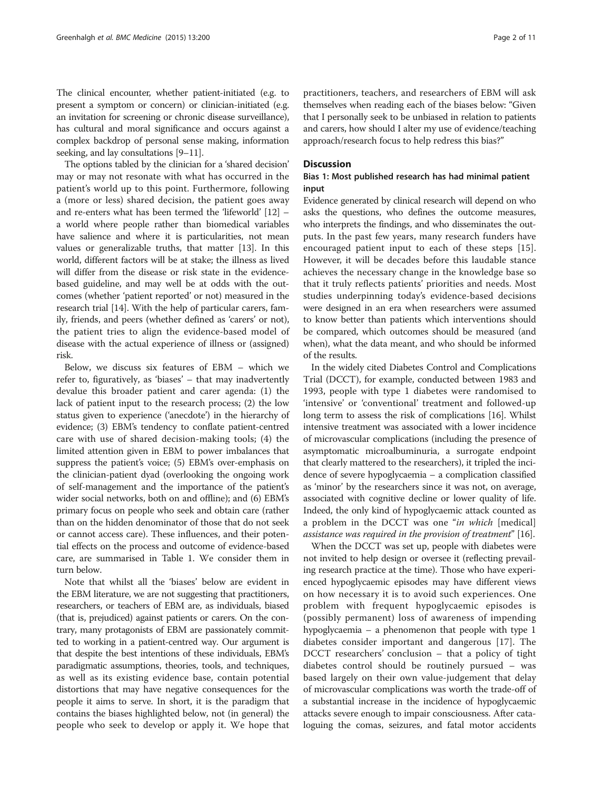The clinical encounter, whether patient-initiated (e.g. to present a symptom or concern) or clinician-initiated (e.g. an invitation for screening or chronic disease surveillance), has cultural and moral significance and occurs against a complex backdrop of personal sense making, information seeking, and lay consultations [\[9](#page-8-0)–[11](#page-8-0)].

The options tabled by the clinician for a 'shared decision' may or may not resonate with what has occurred in the patient's world up to this point. Furthermore, following a (more or less) shared decision, the patient goes away and re-enters what has been termed the 'lifeworld' [[12](#page-8-0)] – a world where people rather than biomedical variables have salience and where it is particularities, not mean values or generalizable truths, that matter [[13](#page-8-0)]. In this world, different factors will be at stake; the illness as lived will differ from the disease or risk state in the evidencebased guideline, and may well be at odds with the outcomes (whether 'patient reported' or not) measured in the research trial [[14](#page-8-0)]. With the help of particular carers, family, friends, and peers (whether defined as 'carers' or not), the patient tries to align the evidence-based model of disease with the actual experience of illness or (assigned) risk.

Below, we discuss six features of EBM – which we refer to, figuratively, as 'biases' – that may inadvertently devalue this broader patient and carer agenda: (1) the lack of patient input to the research process; (2) the low status given to experience ('anecdote') in the hierarchy of evidence; (3) EBM's tendency to conflate patient-centred care with use of shared decision-making tools; (4) the limited attention given in EBM to power imbalances that suppress the patient's voice; (5) EBM's over-emphasis on the clinician-patient dyad (overlooking the ongoing work of self-management and the importance of the patient's wider social networks, both on and offline); and (6) EBM's primary focus on people who seek and obtain care (rather than on the hidden denominator of those that do not seek or cannot access care). These influences, and their potential effects on the process and outcome of evidence-based care, are summarised in Table [1](#page-2-0). We consider them in turn below.

Note that whilst all the 'biases' below are evident in the EBM literature, we are not suggesting that practitioners, researchers, or teachers of EBM are, as individuals, biased (that is, prejudiced) against patients or carers. On the contrary, many protagonists of EBM are passionately committed to working in a patient-centred way. Our argument is that despite the best intentions of these individuals, EBM's paradigmatic assumptions, theories, tools, and techniques, as well as its existing evidence base, contain potential distortions that may have negative consequences for the people it aims to serve. In short, it is the paradigm that contains the biases highlighted below, not (in general) the people who seek to develop or apply it. We hope that practitioners, teachers, and researchers of EBM will ask themselves when reading each of the biases below: "Given that I personally seek to be unbiased in relation to patients and carers, how should I alter my use of evidence/teaching approach/research focus to help redress this bias?"

#### **Discussion**

# Bias 1: Most published research has had minimal patient input

Evidence generated by clinical research will depend on who asks the questions, who defines the outcome measures, who interprets the findings, and who disseminates the outputs. In the past few years, many research funders have encouraged patient input to each of these steps [\[15](#page-8-0)]. However, it will be decades before this laudable stance achieves the necessary change in the knowledge base so that it truly reflects patients' priorities and needs. Most studies underpinning today's evidence-based decisions were designed in an era when researchers were assumed to know better than patients which interventions should be compared, which outcomes should be measured (and when), what the data meant, and who should be informed of the results.

In the widely cited Diabetes Control and Complications Trial (DCCT), for example, conducted between 1983 and 1993, people with type 1 diabetes were randomised to 'intensive' or 'conventional' treatment and followed-up long term to assess the risk of complications [[16](#page-8-0)]. Whilst intensive treatment was associated with a lower incidence of microvascular complications (including the presence of asymptomatic microalbuminuria, a surrogate endpoint that clearly mattered to the researchers), it tripled the incidence of severe hypoglycaemia – a complication classified as 'minor' by the researchers since it was not, on average, associated with cognitive decline or lower quality of life. Indeed, the only kind of hypoglycaemic attack counted as a problem in the DCCT was one "*in which* [medical] assistance was required in the provision of treatment" [[16](#page-8-0)].

When the DCCT was set up, people with diabetes were not invited to help design or oversee it (reflecting prevailing research practice at the time). Those who have experienced hypoglycaemic episodes may have different views on how necessary it is to avoid such experiences. One problem with frequent hypoglycaemic episodes is (possibly permanent) loss of awareness of impending hypoglycaemia – a phenomenon that people with type 1 diabetes consider important and dangerous [[17\]](#page-8-0). The DCCT researchers' conclusion – that a policy of tight diabetes control should be routinely pursued – was based largely on their own value-judgement that delay of microvascular complications was worth the trade-off of a substantial increase in the incidence of hypoglycaemic attacks severe enough to impair consciousness. After cataloguing the comas, seizures, and fatal motor accidents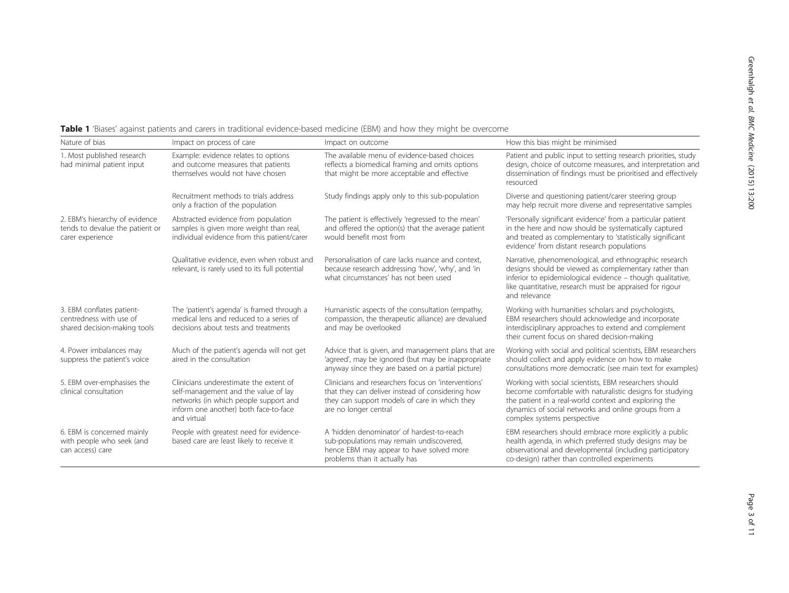| Nature of bias                                                                        | Impact on process of care                                                                                                                                                       | Impact on outcome                                                                                                                                                                 | How this bias might be minimised                                                                                                                                                                                                                                    |
|---------------------------------------------------------------------------------------|---------------------------------------------------------------------------------------------------------------------------------------------------------------------------------|-----------------------------------------------------------------------------------------------------------------------------------------------------------------------------------|---------------------------------------------------------------------------------------------------------------------------------------------------------------------------------------------------------------------------------------------------------------------|
| 1. Most published research<br>had minimal patient input                               | Example: evidence relates to options<br>and outcome measures that patients<br>themselves would not have chosen                                                                  | The available menu of evidence-based choices<br>reflects a biomedical framing and omits options<br>that might be more acceptable and effective                                    | Patient and public input to setting research priorities, study<br>design, choice of outcome measures, and interpretation and<br>dissemination of findings must be prioritised and effectively<br>resourced                                                          |
|                                                                                       | Recruitment methods to trials address<br>only a fraction of the population                                                                                                      | Study findings apply only to this sub-population                                                                                                                                  | Diverse and questioning patient/carer steering group<br>may help recruit more diverse and representative samples                                                                                                                                                    |
| 2. EBM's hierarchy of evidence<br>tends to devalue the patient or<br>carer experience | Abstracted evidence from population<br>samples is given more weight than real,<br>individual evidence from this patient/carer                                                   | The patient is effectively 'regressed to the mean'<br>and offered the option(s) that the average patient<br>would benefit most from                                               | 'Personally significant evidence' from a particular patient<br>in the here and now should be systematically captured<br>and treated as complementary to 'statistically significant<br>evidence' from distant research populations                                   |
|                                                                                       | Qualitative evidence, even when robust and<br>relevant, is rarely used to its full potential                                                                                    | Personalisation of care lacks nuance and context.<br>because research addressing 'how', 'why', and 'in<br>what circumstances' has not been used                                   | Narrative, phenomenological, and ethnographic research<br>designs should be viewed as complementary rather than<br>inferior to epidemiological evidence - though qualitative,<br>like quantitative, research must be appraised for rigour<br>and relevance          |
| 3. EBM conflates patient-<br>centredness with use of<br>shared decision-making tools  | The 'patient's agenda' is framed through a<br>medical lens and reduced to a series of<br>decisions about tests and treatments                                                   | Humanistic aspects of the consultation (empathy,<br>compassion, the therapeutic alliance) are devalued<br>and may be overlooked                                                   | Working with humanities scholars and psychologists,<br>EBM researchers should acknowledge and incorporate<br>interdisciplinary approaches to extend and complement<br>their current focus on shared decision-making                                                 |
| 4. Power imbalances may<br>suppress the patient's voice                               | Much of the patient's agenda will not get<br>aired in the consultation                                                                                                          | Advice that is given, and management plans that are<br>'agreed', may be ignored (but may be inappropriate<br>anyway since they are based on a partial picture)                    | Working with social and political scientists, EBM researchers<br>should collect and apply evidence on how to make<br>consultations more democratic (see main text for examples)                                                                                     |
| 5. EBM over-emphasises the<br>clinical consultation                                   | Clinicians underestimate the extent of<br>self-management and the value of lay<br>networks (in which people support and<br>inform one another) both face-to-face<br>and virtual | Clinicians and researchers focus on 'interventions'<br>that they can deliver instead of considering how<br>they can support models of care in which they<br>are no longer central | Working with social scientists, EBM researchers should<br>become comfortable with naturalistic designs for studying<br>the patient in a real-world context and exploring the<br>dynamics of social networks and online groups from a<br>complex systems perspective |
| 6. EBM is concerned mainly<br>with people who seek (and<br>can access) care           | People with greatest need for evidence-<br>based care are least likely to receive it                                                                                            | A 'hidden denominator' of hardest-to-reach<br>sub-populations may remain undiscovered,<br>hence EBM may appear to have solved more<br>problems than it actually has               | EBM researchers should embrace more explicitly a public<br>health agenda, in which preferred study designs may be<br>observational and developmental (including participatory<br>co-design) rather than controlled experiments                                      |

<span id="page-2-0"></span>

| Table 1 'Biases' against patients and carers in traditional evidence-based medicine (EBM) and how they might be overcome |  |  |  |  |
|--------------------------------------------------------------------------------------------------------------------------|--|--|--|--|
|--------------------------------------------------------------------------------------------------------------------------|--|--|--|--|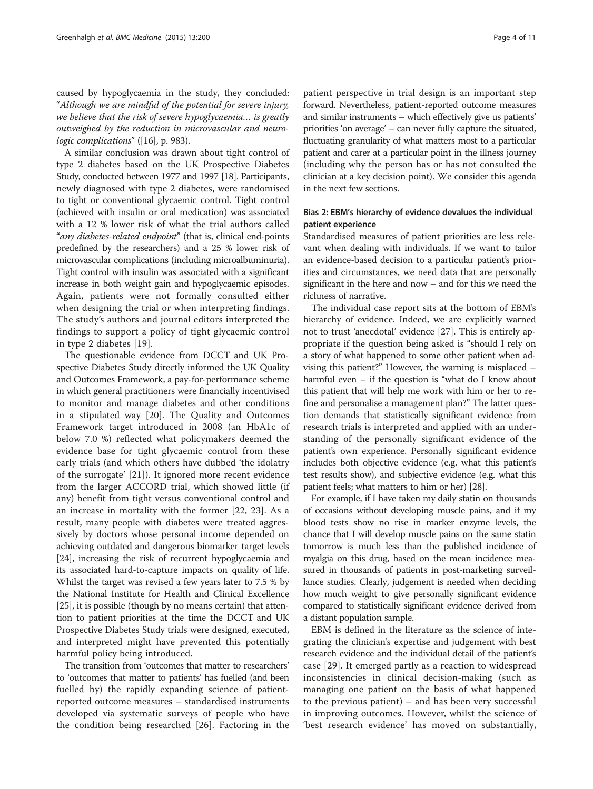caused by hypoglycaemia in the study, they concluded: "Although we are mindful of the potential for severe injury, we believe that the risk of severe hypoglycaemia… is greatly outweighed by the reduction in microvascular and neuro-logic complications" ([\[16\]](#page-8-0), p. 983).

A similar conclusion was drawn about tight control of type 2 diabetes based on the UK Prospective Diabetes Study, conducted between 1977 and 1997 [\[18\]](#page-8-0). Participants, newly diagnosed with type 2 diabetes, were randomised to tight or conventional glycaemic control. Tight control (achieved with insulin or oral medication) was associated with a 12 % lower risk of what the trial authors called "any diabetes-related endpoint" (that is, clinical end-points predefined by the researchers) and a 25 % lower risk of microvascular complications (including microalbuminuria). Tight control with insulin was associated with a significant increase in both weight gain and hypoglycaemic episodes. Again, patients were not formally consulted either when designing the trial or when interpreting findings. The study's authors and journal editors interpreted the findings to support a policy of tight glycaemic control in type 2 diabetes [[19\]](#page-8-0).

The questionable evidence from DCCT and UK Prospective Diabetes Study directly informed the UK Quality and Outcomes Framework, a pay-for-performance scheme in which general practitioners were financially incentivised to monitor and manage diabetes and other conditions in a stipulated way [[20\]](#page-9-0). The Quality and Outcomes Framework target introduced in 2008 (an HbA1c of below 7.0 %) reflected what policymakers deemed the evidence base for tight glycaemic control from these early trials (and which others have dubbed 'the idolatry of the surrogate' [[21\]](#page-9-0)). It ignored more recent evidence from the larger ACCORD trial, which showed little (if any) benefit from tight versus conventional control and an increase in mortality with the former [[22](#page-9-0), [23](#page-9-0)]. As a result, many people with diabetes were treated aggressively by doctors whose personal income depended on achieving outdated and dangerous biomarker target levels [[24](#page-9-0)], increasing the risk of recurrent hypoglycaemia and its associated hard-to-capture impacts on quality of life. Whilst the target was revised a few years later to 7.5 % by the National Institute for Health and Clinical Excellence [[25](#page-9-0)], it is possible (though by no means certain) that attention to patient priorities at the time the DCCT and UK Prospective Diabetes Study trials were designed, executed, and interpreted might have prevented this potentially harmful policy being introduced.

The transition from 'outcomes that matter to researchers' to 'outcomes that matter to patients' has fuelled (and been fuelled by) the rapidly expanding science of patientreported outcome measures – standardised instruments developed via systematic surveys of people who have the condition being researched [[26\]](#page-9-0). Factoring in the

patient perspective in trial design is an important step forward. Nevertheless, patient-reported outcome measures and similar instruments – which effectively give us patients' priorities 'on average' – can never fully capture the situated, fluctuating granularity of what matters most to a particular patient and carer at a particular point in the illness journey (including why the person has or has not consulted the clinician at a key decision point). We consider this agenda in the next few sections.

# Bias 2: EBM's hierarchy of evidence devalues the individual patient experience

Standardised measures of patient priorities are less relevant when dealing with individuals. If we want to tailor an evidence-based decision to a particular patient's priorities and circumstances, we need data that are personally significant in the here and now – and for this we need the richness of narrative.

The individual case report sits at the bottom of EBM's hierarchy of evidence. Indeed, we are explicitly warned not to trust 'anecdotal' evidence [[27\]](#page-9-0). This is entirely appropriate if the question being asked is "should I rely on a story of what happened to some other patient when advising this patient?" However, the warning is misplaced – harmful even – if the question is "what do I know about this patient that will help me work with him or her to refine and personalise a management plan?" The latter question demands that statistically significant evidence from research trials is interpreted and applied with an understanding of the personally significant evidence of the patient's own experience. Personally significant evidence includes both objective evidence (e.g. what this patient's test results show), and subjective evidence (e.g. what this patient feels; what matters to him or her) [[28](#page-9-0)].

For example, if I have taken my daily statin on thousands of occasions without developing muscle pains, and if my blood tests show no rise in marker enzyme levels, the chance that I will develop muscle pains on the same statin tomorrow is much less than the published incidence of myalgia on this drug, based on the mean incidence measured in thousands of patients in post-marketing surveillance studies. Clearly, judgement is needed when deciding how much weight to give personally significant evidence compared to statistically significant evidence derived from a distant population sample.

EBM is defined in the literature as the science of integrating the clinician's expertise and judgement with best research evidence and the individual detail of the patient's case [[29\]](#page-9-0). It emerged partly as a reaction to widespread inconsistencies in clinical decision-making (such as managing one patient on the basis of what happened to the previous patient) – and has been very successful in improving outcomes. However, whilst the science of 'best research evidence' has moved on substantially,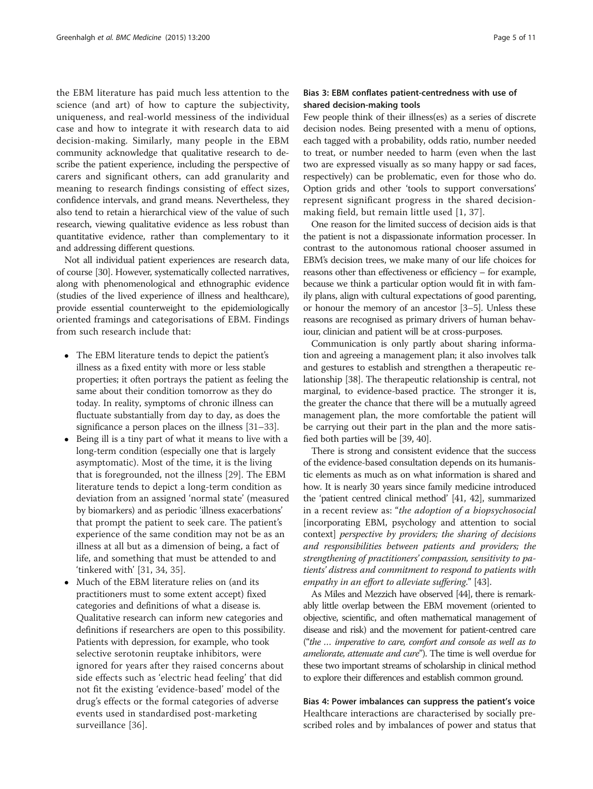the EBM literature has paid much less attention to the science (and art) of how to capture the subjectivity, uniqueness, and real-world messiness of the individual case and how to integrate it with research data to aid decision-making. Similarly, many people in the EBM community acknowledge that qualitative research to describe the patient experience, including the perspective of carers and significant others, can add granularity and meaning to research findings consisting of effect sizes, confidence intervals, and grand means. Nevertheless, they also tend to retain a hierarchical view of the value of such research, viewing qualitative evidence as less robust than quantitative evidence, rather than complementary to it and addressing different questions.

Not all individual patient experiences are research data, of course [[30](#page-9-0)]. However, systematically collected narratives, along with phenomenological and ethnographic evidence (studies of the lived experience of illness and healthcare), provide essential counterweight to the epidemiologically oriented framings and categorisations of EBM. Findings from such research include that:

- The EBM literature tends to depict the patient's illness as a fixed entity with more or less stable properties; it often portrays the patient as feeling the same about their condition tomorrow as they do today. In reality, symptoms of chronic illness can fluctuate substantially from day to day, as does the significance a person places on the illness [[31](#page-9-0)–[33](#page-9-0)].
- Being ill is a tiny part of what it means to live with a long-term condition (especially one that is largely asymptomatic). Most of the time, it is the living that is foregrounded, not the illness [\[29](#page-9-0)]. The EBM literature tends to depict a long-term condition as deviation from an assigned 'normal state' (measured by biomarkers) and as periodic 'illness exacerbations' that prompt the patient to seek care. The patient's experience of the same condition may not be as an illness at all but as a dimension of being, a fact of life, and something that must be attended to and 'tinkered with' [\[31](#page-9-0), [34](#page-9-0), [35](#page-9-0)].
- Much of the EBM literature relies on (and its practitioners must to some extent accept) fixed categories and definitions of what a disease is. Qualitative research can inform new categories and definitions if researchers are open to this possibility. Patients with depression, for example, who took selective serotonin reuptake inhibitors, were ignored for years after they raised concerns about side effects such as 'electric head feeling' that did not fit the existing 'evidence-based' model of the drug's effects or the formal categories of adverse events used in standardised post-marketing surveillance [\[36\]](#page-9-0).

# Bias 3: EBM conflates patient-centredness with use of shared decision-making tools

Few people think of their illness(es) as a series of discrete decision nodes. Being presented with a menu of options, each tagged with a probability, odds ratio, number needed to treat, or number needed to harm (even when the last two are expressed visually as so many happy or sad faces, respectively) can be problematic, even for those who do. Option grids and other 'tools to support conversations' represent significant progress in the shared decisionmaking field, but remain little used [[1](#page-8-0), [37\]](#page-9-0).

One reason for the limited success of decision aids is that the patient is not a dispassionate information processer. In contrast to the autonomous rational chooser assumed in EBM's decision trees, we make many of our life choices for reasons other than effectiveness or efficiency – for example, because we think a particular option would fit in with family plans, align with cultural expectations of good parenting, or honour the memory of an ancestor [\[3](#page-8-0)–[5](#page-8-0)]. Unless these reasons are recognised as primary drivers of human behaviour, clinician and patient will be at cross-purposes.

Communication is only partly about sharing information and agreeing a management plan; it also involves talk and gestures to establish and strengthen a therapeutic relationship [[38](#page-9-0)]. The therapeutic relationship is central, not marginal, to evidence-based practice. The stronger it is, the greater the chance that there will be a mutually agreed management plan, the more comfortable the patient will be carrying out their part in the plan and the more satisfied both parties will be [\[39, 40](#page-9-0)].

There is strong and consistent evidence that the success of the evidence-based consultation depends on its humanistic elements as much as on what information is shared and how. It is nearly 30 years since family medicine introduced the 'patient centred clinical method' [[41](#page-9-0), [42](#page-9-0)], summarized in a recent review as: "the adoption of a biopsychosocial [incorporating EBM, psychology and attention to social context] perspective by providers; the sharing of decisions and responsibilities between patients and providers; the strengthening of practitioners' compassion, sensitivity to patients' distress and commitment to respond to patients with empathy in an effort to alleviate suffering." [\[43\]](#page-9-0).

As Miles and Mezzich have observed [\[44\]](#page-9-0), there is remarkably little overlap between the EBM movement (oriented to objective, scientific, and often mathematical management of disease and risk) and the movement for patient-centred care ("the … imperative to care, comfort and console as well as to ameliorate, attenuate and cure"). The time is well overdue for these two important streams of scholarship in clinical method to explore their differences and establish common ground.

Bias 4: Power imbalances can suppress the patient's voice Healthcare interactions are characterised by socially prescribed roles and by imbalances of power and status that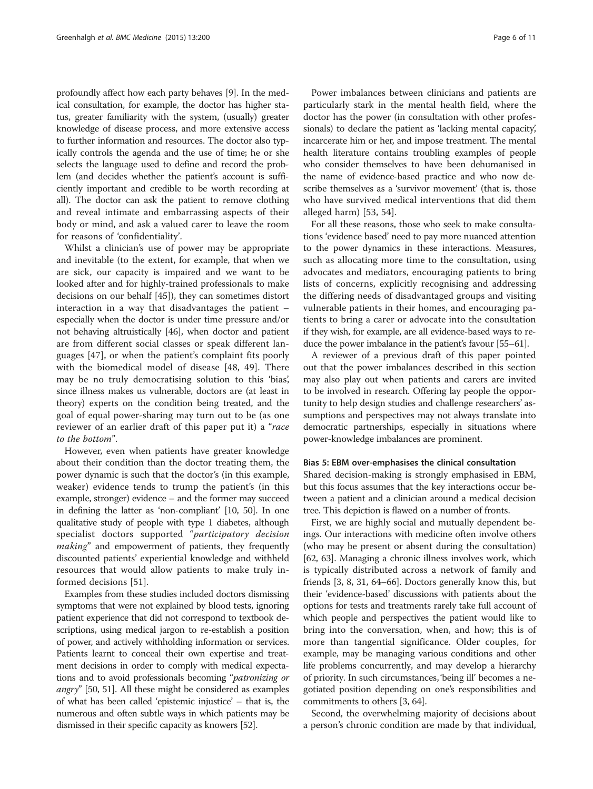profoundly affect how each party behaves [[9](#page-8-0)]. In the medical consultation, for example, the doctor has higher status, greater familiarity with the system, (usually) greater knowledge of disease process, and more extensive access to further information and resources. The doctor also typically controls the agenda and the use of time; he or she selects the language used to define and record the problem (and decides whether the patient's account is sufficiently important and credible to be worth recording at all). The doctor can ask the patient to remove clothing and reveal intimate and embarrassing aspects of their body or mind, and ask a valued carer to leave the room for reasons of 'confidentiality'.

Whilst a clinician's use of power may be appropriate and inevitable (to the extent, for example, that when we are sick, our capacity is impaired and we want to be looked after and for highly-trained professionals to make decisions on our behalf [\[45](#page-9-0)]), they can sometimes distort interaction in a way that disadvantages the patient – especially when the doctor is under time pressure and/or not behaving altruistically [\[46\]](#page-9-0), when doctor and patient are from different social classes or speak different languages [\[47](#page-9-0)], or when the patient's complaint fits poorly with the biomedical model of disease [[48, 49\]](#page-9-0). There may be no truly democratising solution to this 'bias', since illness makes us vulnerable, doctors are (at least in theory) experts on the condition being treated, and the goal of equal power-sharing may turn out to be (as one reviewer of an earlier draft of this paper put it) a "race to the bottom".

However, even when patients have greater knowledge about their condition than the doctor treating them, the power dynamic is such that the doctor's (in this example, weaker) evidence tends to trump the patient's (in this example, stronger) evidence – and the former may succeed in defining the latter as 'non-compliant' [\[10,](#page-8-0) [50\]](#page-9-0). In one qualitative study of people with type 1 diabetes, although specialist doctors supported "participatory decision making" and empowerment of patients, they frequently discounted patients' experiential knowledge and withheld resources that would allow patients to make truly informed decisions [[51\]](#page-9-0).

Examples from these studies included doctors dismissing symptoms that were not explained by blood tests, ignoring patient experience that did not correspond to textbook descriptions, using medical jargon to re-establish a position of power, and actively withholding information or services. Patients learnt to conceal their own expertise and treatment decisions in order to comply with medical expectations and to avoid professionals becoming "patronizing or angry" [\[50, 51](#page-9-0)]. All these might be considered as examples of what has been called 'epistemic injustice' – that is, the numerous and often subtle ways in which patients may be dismissed in their specific capacity as knowers [\[52\]](#page-9-0).

Power imbalances between clinicians and patients are particularly stark in the mental health field, where the doctor has the power (in consultation with other professionals) to declare the patient as 'lacking mental capacity', incarcerate him or her, and impose treatment. The mental health literature contains troubling examples of people who consider themselves to have been dehumanised in the name of evidence-based practice and who now describe themselves as a 'survivor movement' (that is, those who have survived medical interventions that did them alleged harm) [[53, 54](#page-9-0)].

For all these reasons, those who seek to make consultations 'evidence based' need to pay more nuanced attention to the power dynamics in these interactions. Measures, such as allocating more time to the consultation, using advocates and mediators, encouraging patients to bring lists of concerns, explicitly recognising and addressing the differing needs of disadvantaged groups and visiting vulnerable patients in their homes, and encouraging patients to bring a carer or advocate into the consultation if they wish, for example, are all evidence-based ways to reduce the power imbalance in the patient's favour [[55](#page-9-0)–[61\]](#page-9-0).

A reviewer of a previous draft of this paper pointed out that the power imbalances described in this section may also play out when patients and carers are invited to be involved in research. Offering lay people the opportunity to help design studies and challenge researchers' assumptions and perspectives may not always translate into democratic partnerships, especially in situations where power-knowledge imbalances are prominent.

## Bias 5: EBM over-emphasises the clinical consultation

Shared decision-making is strongly emphasised in EBM, but this focus assumes that the key interactions occur between a patient and a clinician around a medical decision tree. This depiction is flawed on a number of fronts.

First, we are highly social and mutually dependent beings. Our interactions with medicine often involve others (who may be present or absent during the consultation) [[62](#page-9-0), [63](#page-9-0)]. Managing a chronic illness involves work, which is typically distributed across a network of family and friends [\[3](#page-8-0), [8](#page-8-0), [31, 64](#page-9-0)–[66](#page-9-0)]. Doctors generally know this, but their 'evidence-based' discussions with patients about the options for tests and treatments rarely take full account of which people and perspectives the patient would like to bring into the conversation, when, and how; this is of more than tangential significance. Older couples, for example, may be managing various conditions and other life problems concurrently, and may develop a hierarchy of priority. In such circumstances, 'being ill' becomes a negotiated position depending on one's responsibilities and commitments to others [\[3](#page-8-0), [64\]](#page-9-0).

Second, the overwhelming majority of decisions about a person's chronic condition are made by that individual,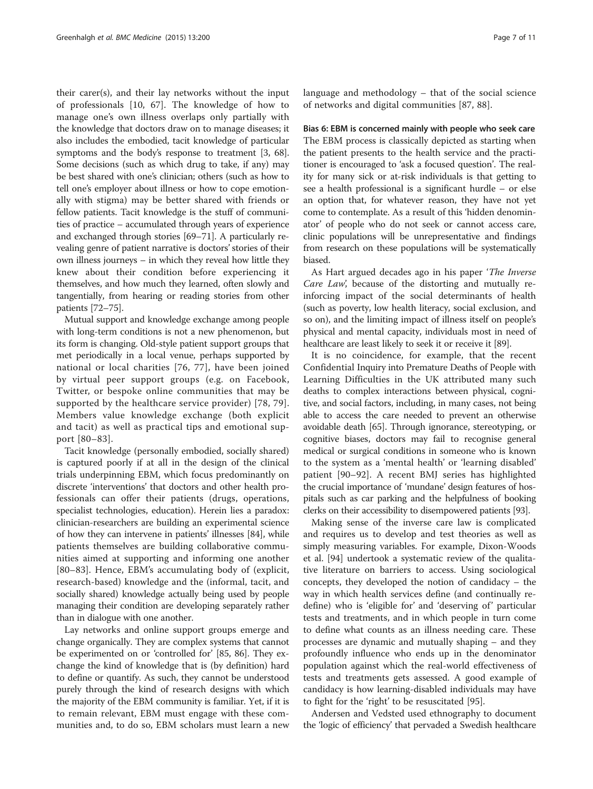their carer(s), and their lay networks without the input of professionals [\[10](#page-8-0), [67](#page-9-0)]. The knowledge of how to manage one's own illness overlaps only partially with the knowledge that doctors draw on to manage diseases; it also includes the embodied, tacit knowledge of particular symptoms and the body's response to treatment [[3](#page-8-0), [68](#page-9-0)]. Some decisions (such as which drug to take, if any) may be best shared with one's clinician; others (such as how to tell one's employer about illness or how to cope emotionally with stigma) may be better shared with friends or fellow patients. Tacit knowledge is the stuff of communities of practice – accumulated through years of experience and exchanged through stories [\[69](#page-9-0)–[71](#page-9-0)]. A particularly revealing genre of patient narrative is doctors'stories of their own illness journeys – in which they reveal how little they knew about their condition before experiencing it themselves, and how much they learned, often slowly and tangentially, from hearing or reading stories from other patients [[72](#page-9-0)–[75\]](#page-10-0).

Mutual support and knowledge exchange among people with long-term conditions is not a new phenomenon, but its form is changing. Old-style patient support groups that met periodically in a local venue, perhaps supported by national or local charities [\[76, 77\]](#page-10-0), have been joined by virtual peer support groups (e.g. on Facebook, Twitter, or bespoke online communities that may be supported by the healthcare service provider) [[78](#page-10-0), [79](#page-10-0)]. Members value knowledge exchange (both explicit and tacit) as well as practical tips and emotional support [\[80](#page-10-0)–[83](#page-10-0)].

Tacit knowledge (personally embodied, socially shared) is captured poorly if at all in the design of the clinical trials underpinning EBM, which focus predominantly on discrete 'interventions' that doctors and other health professionals can offer their patients (drugs, operations, specialist technologies, education). Herein lies a paradox: clinician-researchers are building an experimental science of how they can intervene in patients' illnesses [\[84](#page-10-0)], while patients themselves are building collaborative communities aimed at supporting and informing one another [[80](#page-10-0)–[83\]](#page-10-0). Hence, EBM's accumulating body of (explicit, research-based) knowledge and the (informal, tacit, and socially shared) knowledge actually being used by people managing their condition are developing separately rather than in dialogue with one another.

Lay networks and online support groups emerge and change organically. They are complex systems that cannot be experimented on or 'controlled for' [\[85, 86](#page-10-0)]. They exchange the kind of knowledge that is (by definition) hard to define or quantify. As such, they cannot be understood purely through the kind of research designs with which the majority of the EBM community is familiar. Yet, if it is to remain relevant, EBM must engage with these communities and, to do so, EBM scholars must learn a new language and methodology – that of the social science of networks and digital communities [[87](#page-10-0), [88](#page-10-0)].

Bias 6: EBM is concerned mainly with people who seek care The EBM process is classically depicted as starting when the patient presents to the health service and the practitioner is encouraged to 'ask a focused question'. The reality for many sick or at-risk individuals is that getting to see a health professional is a significant hurdle – or else an option that, for whatever reason, they have not yet come to contemplate. As a result of this 'hidden denominator' of people who do not seek or cannot access care, clinic populations will be unrepresentative and findings from research on these populations will be systematically biased.

As Hart argued decades ago in his paper 'The Inverse Care Law', because of the distorting and mutually reinforcing impact of the social determinants of health (such as poverty, low health literacy, social exclusion, and so on), and the limiting impact of illness itself on people's physical and mental capacity, individuals most in need of healthcare are least likely to seek it or receive it [\[89\]](#page-10-0).

It is no coincidence, for example, that the recent Confidential Inquiry into Premature Deaths of People with Learning Difficulties in the UK attributed many such deaths to complex interactions between physical, cognitive, and social factors, including, in many cases, not being able to access the care needed to prevent an otherwise avoidable death [[65\]](#page-9-0). Through ignorance, stereotyping, or cognitive biases, doctors may fail to recognise general medical or surgical conditions in someone who is known to the system as a 'mental health' or 'learning disabled' patient [[90](#page-10-0)–[92\]](#page-10-0). A recent BMJ series has highlighted the crucial importance of 'mundane' design features of hospitals such as car parking and the helpfulness of booking clerks on their accessibility to disempowered patients [\[93\]](#page-10-0).

Making sense of the inverse care law is complicated and requires us to develop and test theories as well as simply measuring variables. For example, Dixon-Woods et al. [[94\]](#page-10-0) undertook a systematic review of the qualitative literature on barriers to access. Using sociological concepts, they developed the notion of candidacy – the way in which health services define (and continually redefine) who is 'eligible for' and 'deserving of' particular tests and treatments, and in which people in turn come to define what counts as an illness needing care. These processes are dynamic and mutually shaping – and they profoundly influence who ends up in the denominator population against which the real-world effectiveness of tests and treatments gets assessed. A good example of candidacy is how learning-disabled individuals may have to fight for the 'right' to be resuscitated [\[95](#page-10-0)].

Andersen and Vedsted used ethnography to document the 'logic of efficiency' that pervaded a Swedish healthcare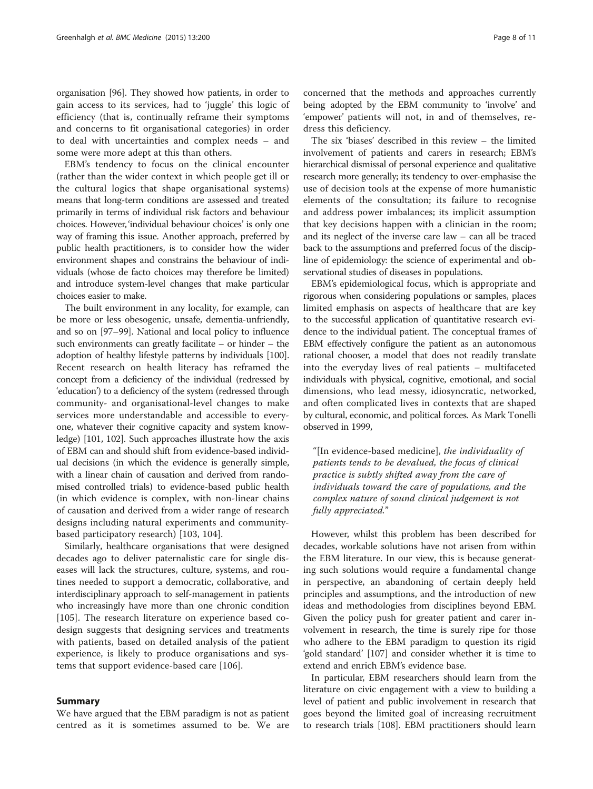organisation [\[96](#page-10-0)]. They showed how patients, in order to gain access to its services, had to 'juggle' this logic of efficiency (that is, continually reframe their symptoms and concerns to fit organisational categories) in order to deal with uncertainties and complex needs – and some were more adept at this than others.

EBM's tendency to focus on the clinical encounter (rather than the wider context in which people get ill or the cultural logics that shape organisational systems) means that long-term conditions are assessed and treated primarily in terms of individual risk factors and behaviour choices. However, 'individual behaviour choices' is only one way of framing this issue. Another approach, preferred by public health practitioners, is to consider how the wider environment shapes and constrains the behaviour of individuals (whose de facto choices may therefore be limited) and introduce system-level changes that make particular choices easier to make.

The built environment in any locality, for example, can be more or less obesogenic, unsafe, dementia-unfriendly, and so on [[97](#page-10-0)–[99\]](#page-10-0). National and local policy to influence such environments can greatly facilitate – or hinder – the adoption of healthy lifestyle patterns by individuals [[100](#page-10-0)]. Recent research on health literacy has reframed the concept from a deficiency of the individual (redressed by 'education') to a deficiency of the system (redressed through community- and organisational-level changes to make services more understandable and accessible to everyone, whatever their cognitive capacity and system knowledge) [\[101](#page-10-0), [102](#page-10-0)]. Such approaches illustrate how the axis of EBM can and should shift from evidence-based individual decisions (in which the evidence is generally simple, with a linear chain of causation and derived from randomised controlled trials) to evidence-based public health (in which evidence is complex, with non-linear chains of causation and derived from a wider range of research designs including natural experiments and communitybased participatory research) [\[103](#page-10-0), [104\]](#page-10-0).

Similarly, healthcare organisations that were designed decades ago to deliver paternalistic care for single diseases will lack the structures, culture, systems, and routines needed to support a democratic, collaborative, and interdisciplinary approach to self-management in patients who increasingly have more than one chronic condition [[105\]](#page-10-0). The research literature on experience based codesign suggests that designing services and treatments with patients, based on detailed analysis of the patient experience, is likely to produce organisations and systems that support evidence-based care [[106\]](#page-10-0).

### Summary

We have argued that the EBM paradigm is not as patient centred as it is sometimes assumed to be. We are

The six 'biases' described in this review – the limited involvement of patients and carers in research; EBM's hierarchical dismissal of personal experience and qualitative research more generally; its tendency to over-emphasise the use of decision tools at the expense of more humanistic elements of the consultation; its failure to recognise and address power imbalances; its implicit assumption that key decisions happen with a clinician in the room; and its neglect of the inverse care law – can all be traced back to the assumptions and preferred focus of the discipline of epidemiology: the science of experimental and observational studies of diseases in populations.

EBM's epidemiological focus, which is appropriate and rigorous when considering populations or samples, places limited emphasis on aspects of healthcare that are key to the successful application of quantitative research evidence to the individual patient. The conceptual frames of EBM effectively configure the patient as an autonomous rational chooser, a model that does not readily translate into the everyday lives of real patients – multifaceted individuals with physical, cognitive, emotional, and social dimensions, who lead messy, idiosyncratic, networked, and often complicated lives in contexts that are shaped by cultural, economic, and political forces. As Mark Tonelli observed in 1999,

"[In evidence-based medicine], the individuality of patients tends to be devalued, the focus of clinical practice is subtly shifted away from the care of individuals toward the care of populations, and the complex nature of sound clinical judgement is not fully appreciated."

However, whilst this problem has been described for decades, workable solutions have not arisen from within the EBM literature. In our view, this is because generating such solutions would require a fundamental change in perspective, an abandoning of certain deeply held principles and assumptions, and the introduction of new ideas and methodologies from disciplines beyond EBM. Given the policy push for greater patient and carer involvement in research, the time is surely ripe for those who adhere to the EBM paradigm to question its rigid 'gold standard' [[107\]](#page-10-0) and consider whether it is time to extend and enrich EBM's evidence base.

In particular, EBM researchers should learn from the literature on civic engagement with a view to building a level of patient and public involvement in research that goes beyond the limited goal of increasing recruitment to research trials [[108](#page-10-0)]. EBM practitioners should learn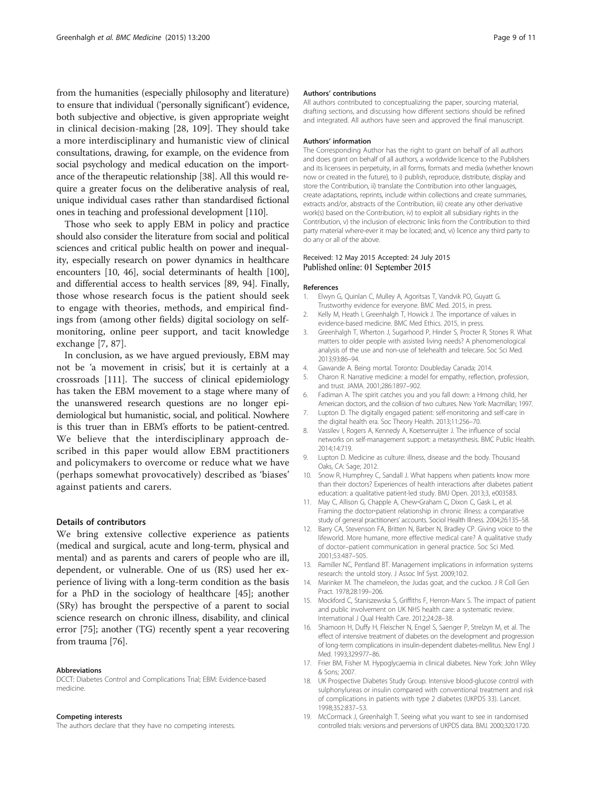<span id="page-8-0"></span>from the humanities (especially philosophy and literature) to ensure that individual ('personally significant') evidence, both subjective and objective, is given appropriate weight in clinical decision-making [\[28](#page-9-0), [109](#page-10-0)]. They should take a more interdisciplinary and humanistic view of clinical consultations, drawing, for example, on the evidence from social psychology and medical education on the importance of the therapeutic relationship [\[38\]](#page-9-0). All this would require a greater focus on the deliberative analysis of real, unique individual cases rather than standardised fictional ones in teaching and professional development [[110](#page-10-0)].

Those who seek to apply EBM in policy and practice should also consider the literature from social and political sciences and critical public health on power and inequality, especially research on power dynamics in healthcare encounters [10, [46\]](#page-9-0), social determinants of health [[100](#page-10-0)], and differential access to health services [\[89, 94](#page-10-0)]. Finally, those whose research focus is the patient should seek to engage with theories, methods, and empirical findings from (among other fields) digital sociology on selfmonitoring, online peer support, and tacit knowledge exchange [7, [87](#page-10-0)].

In conclusion, as we have argued previously, EBM may not be 'a movement in crisis', but it is certainly at a crossroads [[111\]](#page-10-0). The success of clinical epidemiology has taken the EBM movement to a stage where many of the unanswered research questions are no longer epidemiological but humanistic, social, and political. Nowhere is this truer than in EBM's efforts to be patient-centred. We believe that the interdisciplinary approach described in this paper would allow EBM practitioners and policymakers to overcome or reduce what we have (perhaps somewhat provocatively) described as 'biases' against patients and carers.

#### Details of contributors

We bring extensive collective experience as patients (medical and surgical, acute and long-term, physical and mental) and as parents and carers of people who are ill, dependent, or vulnerable. One of us (RS) used her experience of living with a long-term condition as the basis for a PhD in the sociology of healthcare [\[45](#page-9-0)]; another (SRy) has brought the perspective of a parent to social science research on chronic illness, disability, and clinical error [[75](#page-10-0)]; another (TG) recently spent a year recovering from trauma [\[76\]](#page-10-0).

#### Abbreviations

DCCT: Diabetes Control and Complications Trial; EBM: Evidence-based medicine.

#### Competing interests

The authors declare that they have no competing interests.

#### Authors' contributions

All authors contributed to conceptualizing the paper, sourcing material, drafting sections, and discussing how different sections should be refined and integrated. All authors have seen and approved the final manuscript.

#### Authors' information

The Corresponding Author has the right to grant on behalf of all authors and does grant on behalf of all authors, a worldwide licence to the Publishers and its licensees in perpetuity, in all forms, formats and media (whether known now or created in the future), to i) publish, reproduce, distribute, display and store the Contribution, ii) translate the Contribution into other languages, create adaptations, reprints, include within collections and create summaries, extracts and/or, abstracts of the Contribution, iii) create any other derivative work(s) based on the Contribution, iv) to exploit all subsidiary rights in the Contribution, v) the inclusion of electronic links from the Contribution to third party material where-ever it may be located; and, vi) licence any third party to do any or all of the above.

### Received: 12 May 2015 Accepted: 24 July 2015 Published online: 01 September 2015

#### References

- 1. Elwyn G, Quinlan C, Mulley A, Agoritsas T, Vandvik PO, Guyatt G. Trustworthy evidence for everyone. BMC Med. 2015, in press.
- 2. Kelly M, Heath I, Greenhalgh T, Howick J. The importance of values in evidence-based medicine. BMC Med Ethics. 2015, in press.
- 3. Greenhalgh T, Wherton J, Sugarhood P, Hinder S, Procter R, Stones R. What matters to older people with assisted living needs? A phenomenological analysis of the use and non-use of telehealth and telecare. Soc Sci Med. 2013;93:86–94.
- 4. Gawande A. Being mortal. Toronto: Doubleday Canada; 2014.
- 5. Charon R. Narrative medicine: a model for empathy, reflection, profession, and trust. JAMA. 2001;286:1897–902.
- 6. Fadiman A. The spirit catches you and you fall down: a Hmong child, her American doctors, and the collision of two cultures. New York: Macmillan; 1997.
- 7. Lupton D. The digitally engaged patient: self-monitoring and self-care in the digital health era. Soc Theory Health. 2013;11:256–70.
- 8. Vassilev I, Rogers A, Kennedy A, Koetsenruijter J. The influence of social networks on self-management support: a metasynthesis. BMC Public Health. 2014;14:719.
- 9. Lupton D. Medicine as culture: illness, disease and the body. Thousand Oaks, CA: Sage; 2012.
- 10. Snow R, Humphrey C, Sandall J. What happens when patients know more than their doctors? Experiences of health interactions after diabetes patient education: a qualitative patient-led study. BMJ Open. 2013;3, e003583.
- 11. May C, Allison G, Chapple A, Chew-Graham C, Dixon C, Gask L, et al. Framing the doctor-patient relationship in chronic illness: a comparative study of general practitioners' accounts. Sociol Health Illness. 2004;26:135–58.
- 12. Barry CA, Stevenson FA, Britten N, Barber N, Bradley CP. Giving voice to the lifeworld. More humane, more effective medical care? A qualitative study of doctor–patient communication in general practice. Soc Sci Med. 2001;53:487–505.
- 13. Ramiller NC, Pentland BT. Management implications in information systems research: the untold story. J Assoc Inf Syst. 2009;10:2.
- 14. Marinker M. The chameleon, the Judas goat, and the cuckoo. J R Coll Gen Pract. 1978;28:199–206.
- 15. Mockford C, Staniszewska S, Griffiths F, Herron-Marx S. The impact of patient and public involvement on UK NHS health care: a systematic review. International J Qual Health Care. 2012;24:28–38.
- 16. Shamoon H, Duffy H, Fleischer N, Engel S, Saenger P, Strelzyn M, et al. The effect of intensive treatment of diabetes on the development and progression of long-term complications in insulin-dependent diabetes-mellitus. New Engl J Med. 1993;329:977–86.
- 17. Frier BM, Fisher M. Hypoglycaemia in clinical diabetes. New York: John Wiley & Sons; 2007.
- 18. UK Prospective Diabetes Study Group. Intensive blood-glucose control with sulphonylureas or insulin compared with conventional treatment and risk of complications in patients with type 2 diabetes (UKPDS 33). Lancet. 1998;352:837–53.
- 19. McCormack J, Greenhalgh T. Seeing what you want to see in randomised controlled trials: versions and perversions of UKPDS data. BMJ. 2000;320:1720.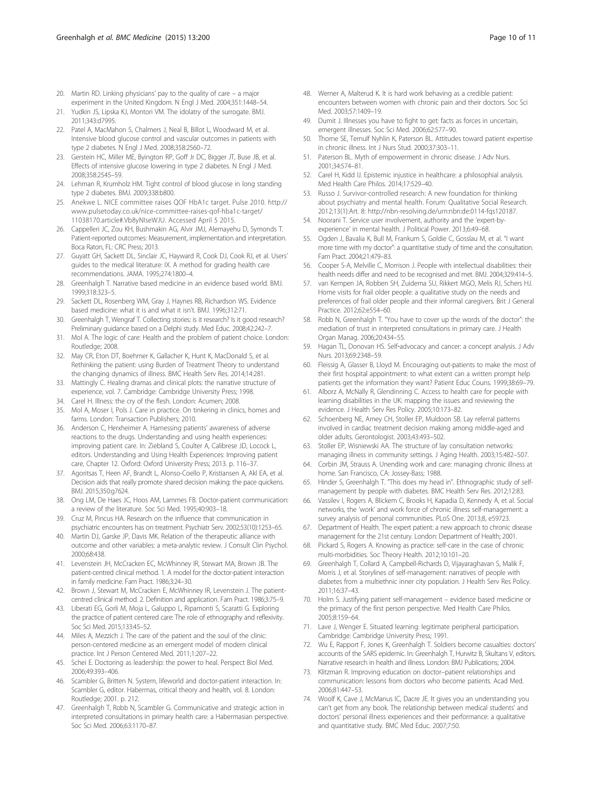- <span id="page-9-0"></span>20. Martin RD. Linking physicians' pay to the quality of care – a major experiment in the United Kingdom. N Engl J Med. 2004;351:1448–54.
- 21. Yudkin JS, Lipska KJ, Montori VM. The idolatry of the surrogate. BMJ. 2011;343:d7995.
- 22. Patel A, MacMahon S, Chalmers J, Neal B, Billot L, Woodward M, et al. Intensive blood glucose control and vascular outcomes in patients with type 2 diabetes. N Engl J Med. 2008;358:2560–72.
- 23. Gerstein HC, Miller ME, Byington RP, Goff Jr DC, Bigger JT, Buse JB, et al. Effects of intensive glucose lowering in type 2 diabetes. N Engl J Med. 2008;358:2545–59.
- 24. Lehman R, Krumholz HM. Tight control of blood glucose in long standing type 2 diabetes. BMJ. 2009;338:b800.
- 25. Anekwe L. NICE committee raises QOF HbA1c target. Pulse 2010. [http://](http://www.pulsetoday.co.uk/nice-committee-raises-qof-hba1c-target/11038170.article#.Vb8yNIseWJU) [www.pulsetoday.co.uk/nice-committee-raises-qof-hba1c-target/](http://www.pulsetoday.co.uk/nice-committee-raises-qof-hba1c-target/11038170.article#.Vb8yNIseWJU) [11038170.article#.Vb8yNIseWJU.](http://www.pulsetoday.co.uk/nice-committee-raises-qof-hba1c-target/11038170.article#.Vb8yNIseWJU) Accessed April 5 2015.
- 26. Cappelleri JC, Zou KH, Bushmakin AG, Alvir JMJ, Alemayehu D, Symonds T. Patient-reported outcomes: Measurement, implementation and interpretation. Boca Raton, FL: CRC Press; 2013.
- 27. Guyatt GH, Sackett DL, Sinclair JC, Hayward R, Cook DJ, Cook RJ, et al. Users' guides to the medical literature: IX. A method for grading health care recommendations. JAMA. 1995;274:1800–4.
- 28. Greenhalgh T. Narrative based medicine in an evidence based world. BMJ. 1999;318:323–5.
- 29. Sackett DL, Rosenberg WM, Gray J, Haynes RB, Richardson WS. Evidence based medicine: what it is and what it isn't. BMJ. 1996;312:71.
- 30. Greenhalgh T, Wengraf T. Collecting stories: is it research? Is it good research? Preliminary guidance based on a Delphi study. Med Educ. 2008;42:242–7.
- 31. Mol A. The logic of care: Health and the problem of patient choice. London: Routledge; 2008.
- 32. May CR, Eton DT, Boehmer K, Gallacher K, Hunt K, MacDonald S, et al. Rethinking the patient: using Burden of Treatment Theory to understand the changing dynamics of illness. BMC Health Serv Res. 2014;14:281.
- 33. Mattingly C. Healing dramas and clinical plots: the narrative structure of experience, vol. 7. Cambridge: Cambridge University Press; 1998.
- 34. Carel H. Illness: the cry of the flesh. London: Acumen; 2008.
- 35. Mol A, Moser I, Pols J. Care in practice. On tinkering in clinics, homes and farms. London: Transaction Publishers; 2010.
- 36. Anderson C, Herxheimer A. Harnessing patients' awareness of adverse reactions to the drugs. Understanding and using health experiences: improving patient care. In: Ziebland S, Coulter A, Calibrese JD, Locock L, editors. Understanding and Using Health Experiences: Improving patient care, Chapter 12. Oxford: Oxford University Press; 2013. p. 116–37.
- 37. Agoritsas T, Heen AF, Brandt L, Alonso-Coello P, Kristiansen A, Akl EA, et al. Decision aids that really promote shared decision making: the pace quickens. BMJ. 2015;350:g7624.
- 38. Ong LM, De Haes JC, Hoos AM, Lammes FB. Doctor-patient communication: a review of the literature. Soc Sci Med. 1995;40:903–18.
- 39. Cruz M, Pincus HA. Research on the influence that communication in psychiatric encounters has on treatment. Psychiatr Serv. 2002;53(10):1253–65.
- 40. Martin DJ, Garske JP, Davis MK. Relation of the therapeutic alliance with outcome and other variables: a meta-analytic review. J Consult Clin Psychol. 2000;68:438.
- 41. Levenstein JH, McCracken EC, McWhinney IR, Stewart MA, Brown JB. The patient-centred clinical method. 1. A model for the doctor-patient interaction in family medicine. Fam Pract. 1986;3:24–30.
- 42. Brown J, Stewart M, McCracken E, McWhinney IR, Levenstein J. The patientcentred clinical method. 2. Definition and application. Fam Pract. 1986;3:75–9.
- 43. Liberati EG, Gorli M, Moja L, Galuppo L, Ripamonti S, Scaratti G. Exploring the practice of patient centered care: The role of ethnography and reflexivity. Soc Sci Med. 2015;133:45–52.
- 44. Miles A, Mezzich J. The care of the patient and the soul of the clinic: person-centered medicine as an emergent model of modern clinical practice. Int J Person Centered Med. 2011;1:207–22.
- 45. Schei E. Doctoring as leadership: the power to heal. Perspect Biol Med. 2006;49:393–406.
- 46. Scambler G, Britten N. System, lifeworld and doctor-patient interaction. In: Scambler G, editor. Habermas, critical theory and health, vol. 8. London: Routledge; 2001. p. 212.
- 47. Greenhalgh T, Robb N, Scambler G. Communicative and strategic action in interpreted consultations in primary health care: a Habermasian perspective. Soc Sci Med. 2006;63:1170–87.
- 48. Werner A, Malterud K. It is hard work behaving as a credible patient: encounters between women with chronic pain and their doctors. Soc Sci Med. 2003;57:1409–19.
- 49. Dumit J. Illnesses you have to fight to get: facts as forces in uncertain, emergent illnesses. Soc Sci Med. 2006;62:577–90.
- 50. Thorne SE, Ternulf Nyhlin K, Paterson BL. Attitudes toward patient expertise in chronic illness. Int J Nurs Stud. 2000;37:303–11.
- 51. Paterson BL. Myth of empowerment in chronic disease. J Adv Nurs. 2001;34:574–81.
- 52. Carel H, Kidd IJ. Epistemic injustice in healthcare: a philosophial analysis. Med Health Care Philos. 2014;17:529–40.
- 53. Russo J. Survivor-controlled research: A new foundation for thinking about psychiatry and mental health. Forum: Qualitative Social Research. 2012;13(1):Art. 8: [http://nbn-resolving.de/urn:nbn:de:0114-fqs120187.](http://nbn-resolving.de/urn:nbn:de:0114-fqs120187)
- 54. Noorani T. Service user involvement, authority and the 'expert-byexperience' in mental health. J Political Power. 2013;6:49–68.
- 55. Ogden J, Bavalia K, Bull M, Frankum S, Goldie C, Gosslau M, et al. "I want more time with my doctor": a quantitative study of time and the consultation. Fam Pract. 2004;21:479–83.
- 56. Cooper S-A, Melville C, Morrison J. People with intellectual disabilities: their health needs differ and need to be recognised and met. BMJ. 2004;329:414–5.
- 57. van Kempen JA, Robben SH, Zuidema SU, Rikkert MGO, Melis RJ, Schers HJ. Home visits for frail older people: a qualitative study on the needs and preferences of frail older people and their informal caregivers. Brit J General Practice. 2012;62:e554–60.
- 58. Robb N, Greenhalgh T. "You have to cover up the words of the doctor": the mediation of trust in interpreted consultations in primary care. J Health Organ Manag. 2006;20:434–55.
- 59. Hagan TL, Donovan HS. Self-advocacy and cancer: a concept analysis. J Adv Nurs. 2013;69:2348–59.
- 60. Fleissig A, Glasser B, Lloyd M. Encouraging out-patients to make the most of their first hospital appointment: to what extent can a written prompt help patients get the information they want? Patient Educ Couns. 1999;38:69–79.
- 61. Alborz A, McNally R, Glendinning C. Access to health care for people with learning disabilities in the UK: mapping the issues and reviewing the evidence. J Health Serv Res Policy. 2005;10:173–82.
- 62. Schoenberg NE, Amey CH, Stoller EP, Muldoon SB. Lay referral patterns involved in cardiac treatment decision making among middle-aged and older adults. Gerontologist. 2003;43:493–502.
- 63. Stoller EP, Wisniewski AA. The structure of lay consultation networks: managing illness in community settings. J Aging Health. 2003;15:482–507.
- 64. Corbin JM, Strauss A. Unending work and care: managing chronic illness at home. San Francisco, CA: Jossey-Bass; 1988.
- 65. Hinder S, Greenhalgh T. "This does my head in". Ethnographic study of selfmanagement by people with diabetes. BMC Health Serv Res. 2012;12:83.
- 66. Vassilev I, Rogers A, Blickem C, Brooks H, Kapadia D, Kennedy A, et al. Social networks, the 'work' and work force of chronic illness self-management: a survey analysis of personal communities. PLoS One. 2013;8, e59723.
- 67. Department of Health. The expert patient: a new approach to chronic disease management for the 21st century. London: Department of Health; 2001.
- 68. Pickard S, Rogers A. Knowing as practice: self-care in the case of chronic multi-morbidities. Soc Theory Health. 2012;10:101–20.
- 69. Greenhalgh T, Collard A, Campbell-Richards D, Vijayaraghavan S, Malik F, Morris J, et al. Storylines of self-management: narratives of people with diabetes from a multiethnic inner city population. J Health Serv Res Policy. 2011;16:37–43.
- 70. Holm S. Justifying patient self-management evidence based medicine or the primacy of the first person perspective. Med Health Care Philos. 2005;8:159–64.
- 71. Lave J, Wenger E. Situated learning: legitimate peripheral participation. Cambridge: Cambridge University Press; 1991.
- 72. Wu E, Rapport F, Jones K, Greenhalgh T. Soldiers become casualties: doctors' accounts of the SARS epidemic. In: Greenhalgh T, Hurwitz B, Skultans V, editors. Narrative research in health and illness. London: BMJ Publications; 2004.
- 73. Klitzman R. Improving education on doctor–patient relationships and communication: lessons from doctors who become patients. Acad Med. 2006;81:447–53.
- 74. Woolf K, Cave J, McManus IC, Dacre JE. It gives you an understanding you can't get from any book. The relationship between medical students' and doctors' personal illness experiences and their performance: a qualitative and quantitative study. BMC Med Educ. 2007;7:50.